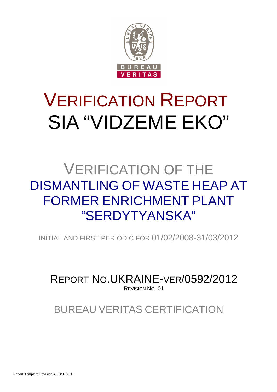

# VERIFICATION REPORT SIA "VIDZEME EKO"

## VERIFICATION OF THE DISMANTLING OF WASTE HEAP AT FORMER ENRICHMENT PI ANT "SERDYTYANSKA"

INITIAL AND FIRST PERIODIC FOR 01/02/2008-31/03/2012

REPORT NO.UKRAINE-VER/0592/2012 REVISION NO. 01

BUREAU VERITAS CERTIFICATION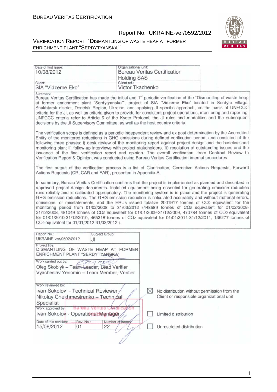

#### VERIFICATION REPORT: "DISMANTLING OF WASTE HEAP AT FORMER ENRICHMENT PLANT "SERDYTYANSKA""

| Date of first issue:<br>10/08/2012                                                                                |                       | Organizational unit:<br><b>Bureau Veritas Certification</b>                                                                                                                                                                                                                                                                                                                                                                                                                                                                                                                                                                                                                                                                                                                                                                                                                            |  |
|-------------------------------------------------------------------------------------------------------------------|-----------------------|----------------------------------------------------------------------------------------------------------------------------------------------------------------------------------------------------------------------------------------------------------------------------------------------------------------------------------------------------------------------------------------------------------------------------------------------------------------------------------------------------------------------------------------------------------------------------------------------------------------------------------------------------------------------------------------------------------------------------------------------------------------------------------------------------------------------------------------------------------------------------------------|--|
|                                                                                                                   |                       | <b>Holding SAS</b>                                                                                                                                                                                                                                                                                                                                                                                                                                                                                                                                                                                                                                                                                                                                                                                                                                                                     |  |
| Client:<br>SIA "Vidzeme Eko"                                                                                      | Client ref.:          | Victor Tkachenko                                                                                                                                                                                                                                                                                                                                                                                                                                                                                                                                                                                                                                                                                                                                                                                                                                                                       |  |
| Summary:                                                                                                          |                       |                                                                                                                                                                                                                                                                                                                                                                                                                                                                                                                                                                                                                                                                                                                                                                                                                                                                                        |  |
|                                                                                                                   |                       | Bureau Veritas Certification has made the initial and 1 <sup>st</sup> periodic verification of the "Dismantling of waste heap<br>at former enrichment plant "Serdytyanska"", project of SIA "Vidzeme Eko" located in Serdyte village,<br>Shakhtarsk district, Donetsk Region, Ukraine, and applying JI specific approach, on the basis of UNFCCC<br>criteria for the JI, as well as criteria given to provide for consistent project operations, monitoring and reporting.<br>UNFCCC criteria refer to Article 6 of the Kyoto Protocol, the JI rules and modalities and the subsequent<br>decisions by the JI Supervisory Committee, as well as the host country criteria.                                                                                                                                                                                                             |  |
|                                                                                                                   |                       | The verification scope is defined as a periodic independent review and ex post determination by the Accredited<br>Entity of the monitored reductions in GHG emissions during defined verification period, and consisted of the<br>following three phases: i) desk review of the monitoring report against project design and the baseline and<br>monitoring plan; ii) follow-up interviews with project stakeholders; iii) resolution of outstanding issues and the<br>issuance of the final verification report and opinion. The overall verification, from Contract Review to<br>Verification Report & Opinion, was conducted using Bureau Veritas Certification internal procedures.                                                                                                                                                                                                |  |
| Actions Requests (CR, CAR and FAR), presented in Appendix A.                                                      |                       | The first output of the verification process is a list of Clarification, Corrective Actions Requests, Forward                                                                                                                                                                                                                                                                                                                                                                                                                                                                                                                                                                                                                                                                                                                                                                          |  |
| CO <sub>2</sub> equivalent for 01/01/2012-31/03/2012).                                                            |                       | In summary, Bureau Veritas Certification confirms that the project is implemented as planned and described in<br>approved project design documents. Installed equipment being essential for generating emission reduction<br>runs reliably and is calibrated appropriately. The monitoring system is in place and the project is generating<br>GHG emission reductions. The GHG emission reduction is calculated accurately and without material errors,<br>omissions, or misstatements, and the ERUs issued totalize 2001917 tonnes of CO2 equivalent for the<br>monitoring period from 01/02/2008 to 31/03/2012 (448589 tonnes of CO2 equivalent for 01/02/2008-<br>31/12/2008, 481049 tonnes of CO2 equivalent for 01/01/2009-31/12/2009, 470784 tonnes of CO2 equivalent<br>for 01/01/2010-31/12/2010, 465218 tonnes of CO2 equivalent for 01/01/2011-31/12/2011, 136277 tonnes of |  |
| Report No.:<br>UKRAINE-ver/0592/2012                                                                              | Subject Group:<br>J١  |                                                                                                                                                                                                                                                                                                                                                                                                                                                                                                                                                                                                                                                                                                                                                                                                                                                                                        |  |
| Project title:<br>DISMANTLING OF WASTE HEAP AT FORMER<br>ENRICHMENT PLANT "SERDYTYANSKA"                          |                       |                                                                                                                                                                                                                                                                                                                                                                                                                                                                                                                                                                                                                                                                                                                                                                                                                                                                                        |  |
| Work carried out by:<br>Oleg Skoblyk - Tearn Leader, Lead Verifier<br>Vyacheslav Yeriomin - Team Member, Verifier | nint                  |                                                                                                                                                                                                                                                                                                                                                                                                                                                                                                                                                                                                                                                                                                                                                                                                                                                                                        |  |
| Work reviewed by:                                                                                                 |                       |                                                                                                                                                                                                                                                                                                                                                                                                                                                                                                                                                                                                                                                                                                                                                                                                                                                                                        |  |
| Ivan Sokolov - Technical Reviewer<br>Nikolay Chekhmestrenko - Technical<br>Specialist                             |                       | X<br>No distribution without permission from the<br>Client or responsible organizational unit                                                                                                                                                                                                                                                                                                                                                                                                                                                                                                                                                                                                                                                                                                                                                                                          |  |
| Work approved by:<br><b>Sureau</b>                                                                                | <b>Veritas</b>        |                                                                                                                                                                                                                                                                                                                                                                                                                                                                                                                                                                                                                                                                                                                                                                                                                                                                                        |  |
| Ivan Sokolov - Operational Manager                                                                                |                       | Limited distribution                                                                                                                                                                                                                                                                                                                                                                                                                                                                                                                                                                                                                                                                                                                                                                                                                                                                   |  |
| Date of this revision:<br>Rev. No.:<br>15/08/2012<br>01                                                           | Number of pages<br>22 | Unrestricted distribution                                                                                                                                                                                                                                                                                                                                                                                                                                                                                                                                                                                                                                                                                                                                                                                                                                                              |  |
|                                                                                                                   |                       |                                                                                                                                                                                                                                                                                                                                                                                                                                                                                                                                                                                                                                                                                                                                                                                                                                                                                        |  |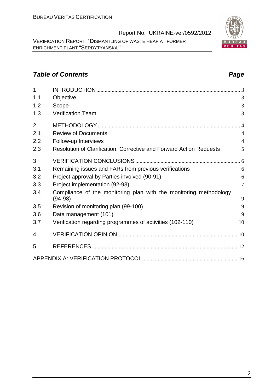VERIFICATION REPORT: "DISMANTLING OF WASTE HEAP AT FORMER ENRICHMENT PLANT "SERDYTYANSKA""

#### **Table of Contents Page 2014**

| $\overline{1}$ |                                                                     | 3              |
|----------------|---------------------------------------------------------------------|----------------|
| 1.1            | Objective                                                           | 3              |
| 1.2            | Scope                                                               | 3              |
| 1.3            | <b>Verification Team</b>                                            | 3              |
| $\overline{2}$ |                                                                     | $\overline{4}$ |
| 2.1            | <b>Review of Documents</b>                                          | $\overline{4}$ |
| 2.2            | Follow-up Interviews                                                | $\overline{4}$ |
| 2.3            | Resolution of Clarification, Corrective and Forward Action Requests | 5              |
| 3              |                                                                     |                |
| 3.1            | Remaining issues and FARs from previous verifications               | 6              |
| 3.2            | Project approval by Parties involved (90-91)                        | 6              |
| 3.3            | Project implementation (92-93)                                      | $\overline{7}$ |
| 3.4            | Compliance of the monitoring plan with the monitoring methodology   |                |
|                | $(94-98)$                                                           | 9              |
| 3.5            | Revision of monitoring plan (99-100)                                | 9              |
| 3.6            | Data management (101)                                               | 9              |
| 3.7            | Verification regarding programmes of activities (102-110)           | 10             |
| 4              |                                                                     |                |
| 5              |                                                                     |                |
|                |                                                                     |                |

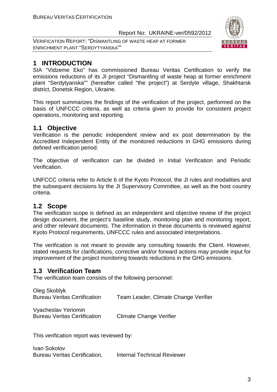VERIFICATION REPORT: "DISMANTLING OF WASTE HEAP AT FORMER ENRICHMENT PLANT "SERDYTYANSKA""



### **1 INTRODUCTION**

SIA "Vidzeme Eko" has commissioned Bureau Veritas Certification to verify the emissions reductions of its JI project "Dismantling of waste heap at former enrichment plant "Serdytyanska"" (hereafter called "the project") at Serdyte village, Shakhtarsk district, Donetsk Region, Ukraine.

This report summarizes the findings of the verification of the project, performed on the basis of UNFCCC criteria, as well as criteria given to provide for consistent project operations, monitoring and reporting.

#### **1.1 Objective**

Verification is the periodic independent review and ex post determination by the Accredited Independent Entity of the monitored reductions in GHG emissions during defined verification period.

The objective of verification can be divided in Initial Verification and Periodic Verification.

UNFCCC criteria refer to Article 6 of the Kyoto Protocol, the JI rules and modalities and the subsequent decisions by the JI Supervisory Committee, as well as the host country criteria.

#### **1.2 Scope**

The verification scope is defined as an independent and objective review of the project design document, the project's baseline study, monitoring plan and monitoring report, and other relevant documents. The information in these documents is reviewed against Kyoto Protocol requirements, UNFCCC rules and associated interpretations.

The verification is not meant to provide any consulting towards the Client. However, stated requests for clarifications, corrective and/or forward actions may provide input for improvement of the project monitoring towards reductions in the GHG emissions.

#### **1.3 Verification Team**

The verification team consists of the following personnel:

| Oleg Skoblyk<br><b>Bureau Veritas Certification</b> | Team Leader, Climate Change Verifier |
|-----------------------------------------------------|--------------------------------------|
| Vyacheslav Yeriomin                                 |                                      |

Bureau Veritas Certification Climate Change Verifier

This verification report was reviewed by:

Ivan Sokolov Bureau Veritas Certification, Internal Technical Reviewer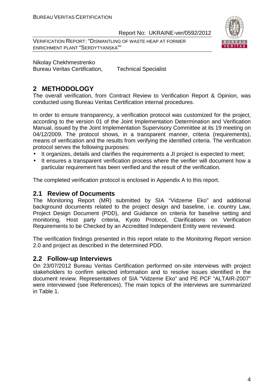VERIFICATION REPORT: "DISMANTLING OF WASTE HEAP AT FORMER ENRICHMENT PLANT "SERDYTYANSKA""



Nikolay Chekhmestrenko

Bureau Veritas Certification, Technical Specialist

#### **2 METHODOLOGY**

The overall verification, from Contract Review to Verification Report & Opinion, was conducted using Bureau Veritas Certification internal procedures.

In order to ensure transparency, a verification protocol was customized for the project, according to the version 01 of the Joint Implementation Determination and Verification Manual, issued by the Joint Implementation Supervisory Committee at its 19 meeting on 04/12/2009. The protocol shows, in a transparent manner, criteria (requirements), means of verification and the results from verifying the identified criteria. The verification protocol serves the following purposes:

- It organizes, details and clarifies the requirements a JI project is expected to meet;
- It ensures a transparent verification process where the verifier will document how a particular requirement has been verified and the result of the verification.

The completed verification protocol is enclosed in Appendix A to this report.

#### **2.1 Review of Documents**

The Monitoring Report (MR) submitted by SIA "Vidzeme Eko" and additional background documents related to the project design and baseline, i.e. country Law, Project Design Document (PDD), and Guidance on criteria for baseline setting and monitoring, Host party criteria, Kyoto Protocol, Clarifications on Verification Requirements to be Checked by an Accredited Independent Entity were reviewed.

The verification findings presented in this report relate to the Monitoring Report version 2.0 and project as described in the determined PDD.

#### **2.2 Follow-up Interviews**

On 23/07/2012 Bureau Veritas Certification performed on-site interviews with project stakeholders to confirm selected information and to resolve issues identified in the document review. Representatives of SIA "Vidzeme Eko" and PE PCF "ALTAIR-2007" were interviewed (see References). The main topics of the interviews are summarized in Table 1.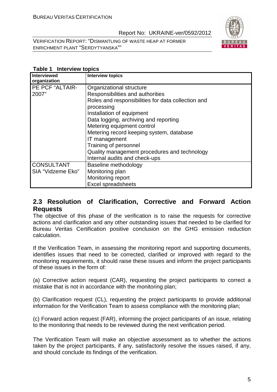VERIFICATION REPORT: "DISMANTLING OF WASTE HEAP AT FORMER ENRICHMENT PLANT "SERDYTYANSKA""



| <b>Table 1 Interview topics</b> |  |
|---------------------------------|--|
|                                 |  |

| <b>Interviewed</b><br>organization | <b>Interview topics</b>                            |
|------------------------------------|----------------------------------------------------|
| PE PCF "ALTAIR-                    | Organizational structure                           |
| 2007"                              | Responsibilities and authorities                   |
|                                    | Roles and responsibilities for data collection and |
|                                    | processing                                         |
|                                    | Installation of equipment                          |
|                                    | Data logging, archiving and reporting              |
|                                    | Metering equipment control                         |
|                                    | Metering record keeping system, database           |
|                                    | IT management                                      |
|                                    | Training of personnel                              |
|                                    | Quality management procedures and technology       |
|                                    | Internal audits and check-ups                      |
| <b>CONSULTANT</b>                  | Baseline methodology                               |
| SIA "Vidzeme Eko"                  | Monitoring plan                                    |
|                                    | Monitoring report                                  |
|                                    | <b>Excel spreadsheets</b>                          |

#### **2.3 Resolution of Clarification, Corrective and Forward Action Requests**

The objective of this phase of the verification is to raise the requests for corrective actions and clarification and any other outstanding issues that needed to be clarified for Bureau Veritas Certification positive conclusion on the GHG emission reduction calculation.

If the Verification Team, in assessing the monitoring report and supporting documents, identifies issues that need to be corrected, clarified or improved with regard to the monitoring requirements, it should raise these issues and inform the project participants of these issues in the form of:

(a) Corrective action request (CAR), requesting the project participants to correct a mistake that is not in accordance with the monitoring plan;

(b) Clarification request (CL), requesting the project participants to provide additional information for the Verification Team to assess compliance with the monitoring plan;

(c) Forward action request (FAR), informing the project participants of an issue, relating to the monitoring that needs to be reviewed during the next verification period.

The Verification Team will make an objective assessment as to whether the actions taken by the project participants, if any, satisfactorily resolve the issues raised, if any, and should conclude its findings of the verification.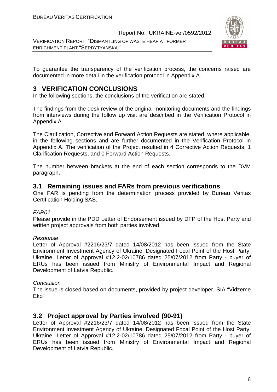VERIFICATION REPORT: "DISMANTLING OF WASTE HEAP AT FORMER ENRICHMENT PLANT "SERDYTYANSKA""



To guarantee the transparency of the verification process, the concerns raised are documented in more detail in the verification protocol in Appendix A.

#### **3 VERIFICATION CONCLUSIONS**

In the following sections, the conclusions of the verification are stated.

The findings from the desk review of the original monitoring documents and the findings from interviews during the follow up visit are described in the Verification Protocol in Appendix A.

The Clarification, Corrective and Forward Action Requests are stated, where applicable, in the following sections and are further documented in the Verification Protocol in Appendix A. The verification of the Project resulted in 4 Corrective Action Requests, 1 Clarification Requests, and 0 Forward Action Requests.

The number between brackets at the end of each section corresponds to the DVM paragraph.

#### **3.1 Remaining issues and FARs from previous verifications**

One FAR is pending from the determination process provided by Bureau Veritas Certification Holding SAS.

#### FAR01

Please provide in the PDD Letter of Endorsement issued by DFP of the Host Party and written project approvals from both parties involved.

#### Response

Letter of Approval #2216/23/7 dated 14/08/2012 has been issued from the State Environment Investment Agency of Ukraine, Designated Focal Point of the Host Party, Ukraine. Letter of Approval #12.2-02/10786 dated 25/07/2012 from Party - buyer of ERUs has been issued from Ministry of Environmental Impact and Regional Development of Latvia Republic.

#### **Conclusion**

The issue is closed based on documents, provided by project developer, SIA "Vidzeme Eko"

#### **3.2 Project approval by Parties involved (90-91)**

Letter of Approval #2216/23/7 dated 14/08/2012 has been issued from the State Environment Investment Agency of Ukraine, Designated Focal Point of the Host Party, Ukraine. Letter of Approval #12.2-02/10786 dated 25/07/2012 from Party - buyer of ERUs has been issued from Ministry of Environmental Impact and Regional Development of Latvia Republic.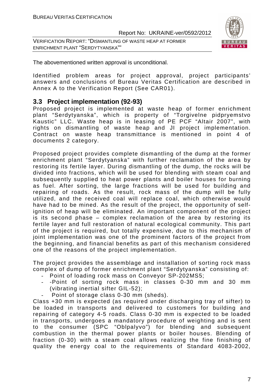VERIFICATION REPORT: "DISMANTLING OF WASTE HEAP AT FORMER ENRICHMENT PLANT "SERDYTYANSKA""



The abovementioned written approval is unconditional.

Identified problem areas for project approval, project participants' answers and conclusions of Bureau Veritas Certification are described in Annex A to the Verification Report (See CAR01).

#### **3.3 Project implementation (92-93)**

Proposed project is implemented at waste heap of former enrichment plant "Serdytyanska", which is property of "Torgivelne pidpryemstvo Kaustic" LLC. Waste heap is in leasing of PE PCF "Altair 2007", with rights on dismantling of waste heap and JI project implementation. Contract on waste heap transmittance is mentioned in point 4 of documents 2 category.

Proposed project provides complete dismantling of the dump at the former enrichment plant "Serdytyanska" with further reclamation of the area by restoring its fertile layer. During dismantling of the dump, the rocks will be divided into fractions, which will be used for blending with steam coal and subsequently supplied to heat power plants and boiler houses for burning as fuel. After sorting, the large fractions will be used for building and repairing of roads. As the result, rock mass of the dump will be fully utilized, and the received coal will replace coal, which otherwise would have had to be mined. As the result of the project, the opportunity of selfignition of heap will be eliminated. An important component of the project is its second phase – complex reclamation of the area by restoring its fertile layer and full restoration of natural ecological community. This part of the project is required, but totally expensive, due to this mechanism of joint implementation was one of the prominent factors of the project from the beginning, and financial benefits as part of this mechanism considered one of the reasons of the project implementation.

The project provides the assemblage and installation of sorting rock mass complex of dump of former enrichment plant "Serdytyanska" consisting of:

- Point of loading rock mass on Conveyor SP-202MS5;
- -Point of sorting rock mass in classes 0-30 mm and 30 mm (vibrating inertial sifter GIL-52);
- Point of storage class 0-30 mm (sheds).

Class +30 mm is expected (as required under discharging tray of sifter) to be loaded in transports and delivered to customers for building and repairing of category 4-5 roads. Class 0-30 mm is expected to be loaded in transports, undergoes a mandatory procedure of weighting and is sent to the consumer (SPC "Oblpalyvo") for blending and subsequent combustion in the thermal power plants or boiler houses. Blending of fraction (0-30) with a steam coal allows realizing the fine finishing of quality the energy coal to the requirements of Standard 4083-2002,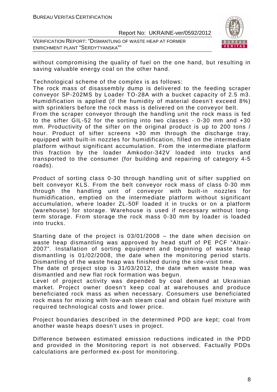VERIFICATION REPORT: "DISMANTLING OF WASTE HEAP AT FORMER ENRICHMENT PLANT "SERDYTYANSKA""



without compromising the quality of fuel on the one hand, but resulting in saving valuable energy coal on the other hand.

Technological scheme of the complex is as follows:

The rock mass of disassembly dump is delivered to the feeding scraper conveyor SP-202MS by Loader TO-28A with a bucket capacity of 2.5 m3. Humidification is applied (if the humidity of material doesn't exceed 8%) with sprinklers before the rock mass is delivered on the conveyor belt.

From the scraper conveyor through the handling unit the rock mass is fed to the sifter GIL-52 for the sorting into two classes - 0-30 mm and +30 mm. Productivity of the sifter on the original product is up to 200 tons / hour. Product of sifter screens +30 mm through the discharge tray, equipped with built-in nozzles for humidification, filled on the intermediate platform without significant accumulation. From the intermediate platform this fraction by the loader Amkodor-342V loaded into trucks and transported to the consumer (for building and repairing of category 4-5 roads).

Product of sorting class 0-30 through handling unit of sifter supplied on belt conveyor KLS. From the belt conveyor rock mass of class 0-30 mm through the handling unit of conveyor with built-in nozzles for humidification, emptied on the intermediate platform without significant accumulation, where loader ZL-50F loaded it in trucks or on a platform (warehouse) for storage. Warehouse is used if necessary without longterm storage. From storage the rock mass 0-30 mm by loader is loaded into trucks.

Starting date of the project is 03/01/2008 – the date when decision on waste heap dismantling was approved by head stuff of PE PCF "Altair-2007". Installation of sorting equipment and beginning of waste heap dismantling is 01/02/2008, the date when the monitoring period starts. Dismantling of the waste heap was finished during the site-visit time.

The date of project stop is 31/03/2012, the date when waste heap was dismantled and new flat rock formation was begun.

Level of project activity was depended by coal demand at Ukrainian market. Project owner doesn't keep coal at warehouses and produce beneficiated rock mass as when necessary. Consumers use beneficiated rock mass for mixing with low-ash steam coal and obtain fuel mixture with required technological costs and lower price.

Project boundaries described in the determined PDD are kept; coal from another waste heaps doesn't uses in project.

Difference between estimated emission reductions indicated in the PDD and provided in the Monitoring report is not observed. Factually PDDs calculations are performed ex-post for monitoring.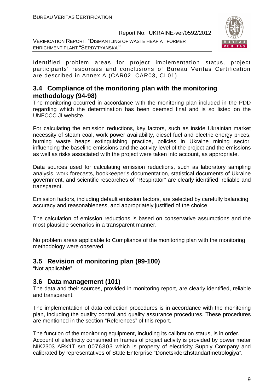VERIFICATION REPORT: "DISMANTLING OF WASTE HEAP AT FORMER ENRICHMENT PLANT "SERDYTYANSKA""



Identified problem areas for project implementation status, project participants' responses and conclusions of Bureau Veritas Certification are described in Annex A (CAR02, CAR03, CL01).

#### **3.4 Compliance of the monitoring plan with the monitoring methodology (94-98)**

The monitoring occurred in accordance with the monitoring plan included in the PDD regarding which the determination has been deemed final and is so listed on the UNFCCC JI website.

For calculating the emission reductions, key factors, such as inside Ukrainian market necessity of steam coal, work power availability, diesel fuel and electric energy prices, burning waste heaps extinguishing practice, policies in Ukraine mining sector, influencing the baseline emissions and the activity level of the project and the emissions as well as risks associated with the project were taken into account, as appropriate.

Data sources used for calculating emission reductions, such as laboratory sampling analysis, work forecasts, bookkeeper's documentation, statistical documents of Ukraine government, and scientific researches of "Respirator" are clearly identified, reliable and transparent.

Emission factors, including default emission factors, are selected by carefully balancing accuracy and reasonableness, and appropriately justified of the choice.

The calculation of emission reductions is based on conservative assumptions and the most plausible scenarios in a transparent manner.

No problem areas applicable to Compliance of the monitoring plan with the monitoring methodology were observed.

#### **3.5 Revision of monitoring plan (99-100)**

"Not applicable"

#### **3.6 Data management (101)**

The data and their sources, provided in monitoring report, are clearly identified, reliable and transparent.

The implementation of data collection procedures is in accordance with the monitoring plan, including the quality control and quality assurance procedures. These procedures are mentioned in the section "References" of this report.

The function of the monitoring equipment, including its calibration status, is in order. Account of electricity consumed in frames of project activity is provided by power meter NIK2303 ARK1T s/n 0076303 which is property of electricity Supply Company and calibrated by representatives of State Enterprise "Donetskderzhstandartmetrologiya".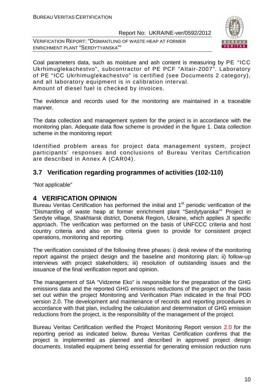VERIFICATION REPORT: "DISMANTLING OF WASTE HEAP AT FORMER ENRICHMENT PLANT "SERDYTYANSKA""



Coal parameters data, such as moisture and ash content is measuring by PE "ICC Ukrhimuglekachestvo", subcontractor of PE PCF "Altair-2007". Laboratory of PE "ICC Ukrhimuglekachestvo" is certified (see Documents 2 category), and all laboratory equipment is in calibration interval. Amount of diesel fuel is checked by invoices.

The evidence and records used for the monitoring are maintained in a traceable manner.

The data collection and management system for the project is in accordance with the monitoring plan. Adequate data flow scheme is provided in the figure 1. Data collection scheme in the monitoring report

Identified problem areas for project data management system, project participants' responses and conclusions of Bureau Veritas Certification are described in Annex A (CAR04).

#### **3.7 Verification regarding programmes of activities (102-110)**

"Not applicable"

#### **4 VERIFICATION OPINION**

Bureau Veritas Certification has performed the initial and  $1<sup>st</sup>$  periodic verification of the "Dismantling of waste heap at former enrichment plant "Serdytyanska"" Project in Serdyte village, Shakhtarsk district, Donetsk Region, Ukraine, which applies JI specific approach. The verification was performed on the basis of UNFCCC criteria and host country criteria and also on the criteria given to provide for consistent project operations, monitoring and reporting.

The verification consisted of the following three phases: i) desk review of the monitoring report against the project design and the baseline and monitoring plan; ii) follow-up interviews with project stakeholders; iii) resolution of outstanding issues and the issuance of the final verification report and opinion.

The management of SIA "Vidzeme Eko" is responsible for the preparation of the GHG emissions data and the reported GHG emissions reductions of the project on the basis set out within the project Monitoring and Verification Plan indicated in the final PDD version 2.0. The development and maintenance of records and reporting procedures in accordance with that plan, including the calculation and determination of GHG emission reductions from the project, is the responsibility of the management of the project.

Bureau Veritas Certification verified the Project Monitoring Report version 2.0 for the reporting period as indicated below. Bureau Veritas Certification confirms that the project is implemented as planned and described in approved project design documents. Installed equipment being essential for generating emission reduction runs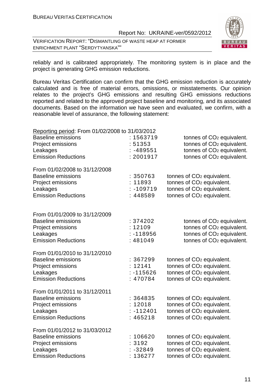VERIFICATION REPORT: "DISMANTLING OF WASTE HEAP AT FORMER ENRICHMENT PLANT "SERDYTYANSKA""



reliably and is calibrated appropriately. The monitoring system is in place and the project is generating GHG emission reductions.

Bureau Veritas Certification can confirm that the GHG emission reduction is accurately calculated and is free of material errors, omissions, or misstatements. Our opinion relates to the project's GHG emissions and resulting GHG emissions reductions reported and related to the approved project baseline and monitoring, and its associated documents. Based on the information we have seen and evaluated, we confirm, with a reasonable level of assurance, the following statement:

| Reporting period: From 01/02/2008 to 31/03/2012 |                         |                                                                                |
|-------------------------------------------------|-------------------------|--------------------------------------------------------------------------------|
| <b>Baseline emissions</b>                       | : 1563719               | tonnes of CO <sub>2</sub> equivalent.                                          |
| Project emissions                               | : 51353                 | tonnes of CO <sub>2</sub> equivalent.                                          |
| Leakages                                        | -489551                 | tonnes of CO <sub>2</sub> equivalent.                                          |
| <b>Emission Reductions</b>                      | : 2001917               | tonnes of CO <sub>2</sub> equivalent.                                          |
| From 01/02/2008 to 31/12/2008                   |                         |                                                                                |
| <b>Baseline emissions</b>                       | : 350763                | tonnes of CO <sub>2</sub> equivalent.                                          |
| Project emissions                               | : 11893                 | tonnes of CO <sub>2</sub> equivalent.                                          |
| Leakages                                        | $: -109719$             | tonnes of CO <sub>2</sub> equivalent.                                          |
| <b>Emission Reductions</b>                      | : 448589                | tonnes of CO <sub>2</sub> equivalent.                                          |
| From 01/01/2009 to 31/12/2009                   |                         |                                                                                |
| <b>Baseline emissions</b>                       | : 374202                | tonnes of CO <sub>2</sub> equivalent.                                          |
| Project emissions                               | : 12109                 | tonnes of CO <sub>2</sub> equivalent.                                          |
| Leakages                                        | $: -118956$             | tonnes of CO <sub>2</sub> equivalent.                                          |
| <b>Emission Reductions</b>                      | : 481049                | tonnes of CO <sub>2</sub> equivalent.                                          |
|                                                 |                         |                                                                                |
| From 01/01/2010 to 31/12/2010                   |                         |                                                                                |
| <b>Baseline emissions</b><br>Project emissions  | : 367299<br>: 12141     | tonnes of CO <sub>2</sub> equivalent.<br>tonnes of CO <sub>2</sub> equivalent. |
| Leakages                                        | $: -115626$             | tonnes of CO <sub>2</sub> equivalent.                                          |
| <b>Emission Reductions</b>                      | : 470784                | tonnes of CO <sub>2</sub> equivalent.                                          |
|                                                 |                         |                                                                                |
| From 01/01/2011 to 31/12/2011                   |                         |                                                                                |
| <b>Baseline emissions</b>                       | : 364835                | tonnes of CO <sub>2</sub> equivalent.                                          |
| Project emissions                               | : 12018                 | tonnes of CO <sub>2</sub> equivalent.                                          |
| Leakages<br><b>Emission Reductions</b>          | $: -112401$<br>: 465218 | tonnes of CO <sub>2</sub> equivalent.                                          |
|                                                 |                         | tonnes of CO <sub>2</sub> equivalent.                                          |
| From 01/01/2012 to 31/03/2012                   |                         |                                                                                |
| <b>Baseline emissions</b>                       | : 106620                | tonnes of CO <sub>2</sub> equivalent.                                          |
| Project emissions                               | 3192                    | tonnes of CO <sub>2</sub> equivalent.                                          |
| Leakages                                        | $: -32849$              | tonnes of CO <sub>2</sub> equivalent.                                          |
| <b>Emission Reductions</b>                      | : 136277                | tonnes of CO <sub>2</sub> equivalent.                                          |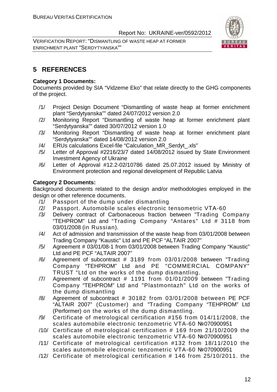VERIFICATION REPORT: "DISMANTLING OF WASTE HEAP AT FORMER ENRICHMENT PLANT "SERDYTYANSKA""



#### **5 REFERENCES**

#### **Category 1 Documents:**

Documents provided by SIA "Vidzeme Eko" that relate directly to the GHG components of the project.

- /1/ Project Design Document "Dismantling of waste heap at former enrichment plant "Serdytyanska"" dated 24/07/2012 version 2.0
- /2/ Monitoring Report "Dismantling of waste heap at former enrichment plant "Serdytyanska"" dated 30/07/2012 version 1.0
- /3/ Monitoring Report "Dismantling of waste heap at former enrichment plant "Serdytyanska"" dated 14/08/2012 version 2.0
- /4/ ERUs calculations Excel-file "Calculation MR Serdyt .xls"
- /5/ Letter of Approval #2216/23/7 dated 14/08/2012 issued by State Environment Investment Agency of Ukraine
- /6/ Letter of Approval #12.2-02/10786 dated 25.07.2012 issued by Ministry of Environment protection and regional development of Republic Latvia

#### **Category 2 Documents:**

Background documents related to the design and/or methodologies employed in the design or other reference documents.

- /1/ Passport of the dump under dismantling
- /2/ Passport. Automobile scales electronic tensometric VТА-60
- /3/ Delivery contract of Carbonaceous fraction between "Trading Company "TEHPROM" Ltd and "Trading Company "Antares" Ltd # 3118 from 03/01/2008 (in Russian).
- /4/ Act of admission and transmission of the waste heap from 03/01/2008 between Trading Company "Kaustic" Ltd and PE PCF "ALTAIR 2007"
- /5/ Agreement # 03/01/08-1 from 03/01/2008 between Trading Company "Kaustic" Ltd and PE PCF "ALTAIR 2007"
- /6/ Agreement of subcontract # 3189 from 03/01/2008 between "Trading Company "TEHPROM" Ltd and PE "COMMERCIAL COMPANY" TRUST "Ltd on the works of the dump dismantling.
- /7/ Agreement of subcontract # 1191 from 01/01/2009 between "Trading Company "TEHPROM" Ltd and "Plastmontazh" Ltd on the works of the dump dismantling
- /8/ Agreement of subcontract # 30182 from 03/01/2008 between PE PCF "ALTAIR 2007" (Customer) and "Trading Company "TEHPROM" Ltd (Performer) on the works of the dump dismantling.
- /9/ Certificate of metrological certification #156 from 014/11/2008, the scales automobile electronic tenzometric VTA-60 №070900951
- /10/ Certificate of metrological certification # 169 from 21/10/2009 the scales automobile electronic tenzometric VTA-60 №070900951
- /11/ Certificate of metrological certification #132 from 18/11/2010 the scales automobile electronic tenzometric VTA-60 №070900951
- /12/ Certificate of metrological certification # 146 from 25/10/2011. the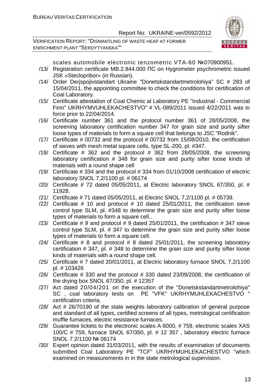VERIFICATION REPORT: "DISMANTLING OF WASTE HEAP AT FORMER ENRICHMENT PLANT "SERDYTYANSKA""



scales automobile electronic tenzometric VTA-60 №070900951.

- /13/ Registration certificate MB.2.844.000 ПС on Hygrometer psychrometric issued JSK «Steclopribor» (in Russian).
- /14/ Order Derjspojivstandart Ukraine "Donetskstandartmetrolohiya" SC # 283 of 15/04/2011, the appointing committee to check the conditions for certification of Coal Laboratory.
- /15/ Certificate attestation of Coal Chemic al Laboratory PE "Industrial Commercial Firm" UKRHYMVUHLEKACHESTVO" # VL-089/2011 issued 4/22/2011 was in force prior to 22/04/2014.
- /16/ Certificate number 361 and the protocol number 361 of 28/05/2008, the screening laboratory certification number 347 for grain size and purity sifter loose types of materials to form a square cell that belongs to JSC "Rodnik".
- /17/ Certificate # 00732 and the protocol # 00732 from 15/08/2010, the certification of sieves with mesh metal square cells, type SL-200, pl. #347.
- /18/ Certificate  $#$  362 and the protocol  $#$  362 from 28/05/2008, the screening laboratory certification # 348 for grain size and purity sifter loose kinds of materials with a round shape cell
- /19/ Certificate # 334 and the protocol # 334 from 01/10/2008 certification of electric laboratory SNOL 7,2/1100 pl. # 06174
- /20/ Certificate # 72 dated 05/05/2011, at Electric laboratory SNOL 67/350, pl. # 11928.
- /21/ Certificate # 71 dated 05/05/2011, at Electric SNOL 7,2/1100 pl. # 05739.
- /22/ Certificate # 10 and protocol # 10 dated 25/01/2011, the certification sieve control type SLM, pl. #348 to determine the grain size and purity sifter loose types of materials to form a square cell..
- $/23/$  Certificate # 9 and protocol # 9 dated 25/01/2011, the certification # 347 sieve control type SLM, pl. # 347 to determine the grain size and purity sifter loose types of materials to form a square cell.
- $/24/$  Certificate # 8 and protocol # 8 dated 25/01/2011, the screening laboratory certification # 347, pl. # 348 to determine the grain size and purity sifter loose kinds of materials with a round shape cell.
- /25/ Certificate # 7 dated 20/01/2011, at Electric laboratory furnace SNOL 7,2/1100 pl. # 103426
- /26/ Certificate # 330 and the protocol # 330 dated 23/09/2008, the certification of the drying box SNOL 67/350, pl. # 12357
- /27/ Act dated 20/04/201 on the execution of the "Donetskstandartmetrolohiya" SC , coal laboratory tests on PE "VFK" UKRHYMUHLEKACHESTVO " certification criteria.
- /28/ Act # 26/70190 of the state weights laboratory calibration of general purpose and standard of all types, certified screens of all types, metrological certification muffle furnaces, electric resistance furnaces.
- /29/ Guarantee tickets to the electronic scales A 6000, # 759, electronic scales XAS 100/C # 759, furnace SNOL 67/350, pl. # 12 357 , laboratory electric furnace SNOL 7.2/1100 № 06174
- /30/ Expert opinion dated 31/03/2011, with the results of examination of documents submitted Coal Laboratory PE "TCF" UKRHYMUHLEKACHESTVO "which examined on measurements in in the state metrological supervision.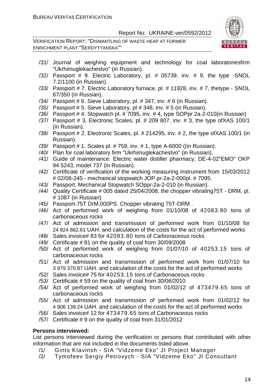VERIFICATION REPORT: "DISMANTLING OF WASTE HEAP AT FORMER ENRICHMENT PLANT "SERDYTYANSKA""



- /31/ Journal of weighing equipment and technology for coal laboratoriesfirm "Ukrhimuglekachestvo" (in Russian).
- /32/ Passport # 9. Electric Laboratory, pl. # 05739, inv. # 9, the type -SNOL 7.2/1100 (in Russian).
- /33/ Passport # 7. Electric Laboratory furnace, pl. # 11928, inv. # 7, thetype SNOL 67/350 (in Russian).
- /34/ Passport # 6. Sieve Laboratory, pl. # 347, inv. # 6 (in Russian).
- /35/ Passport # 5. Sieve Laboratory, pl # 348, inv. # 5 (in Russian).
- /36/ Passport # 4. Stopwatch pl. # 7095, inv. # 4, type SOPpr 2a-2-010(in Russian)
- /37/ Passport # 3. Electronic Scales, pl. # 209 807, inv. # 3, the type ofXAS 100/1 (in Russian).
- /38/ Passport # 2. Electronic Scales, pl. # 214295, inv. # 2, the type ofXAS 100/1 (in Russian).
- /39/ Passport # 1. Scales pl. # 759, inv. # 1, type A-6000 ((in Russian).
- /40/ Plan for coal laboratory firm "Ukrhimuglekachestvo" (in Russian).
- /41/ Guide of maintenance. Electric water distiller pharmacy, DE-4-02"EMO" OKP 94 5243, model 737 (in Russian).
- /42/ Certificate of verification of the working measuring instrument from 15/03/2012 # 02/08-245 - mechanical stopwatch JOP pr-2a-2-000pl. # 7095.
- /43/ Passport. Mechanical Stopwatch SOppr-2a-2-010 (in Russian).
- /44/ Quality Certificate # 005 dated 25/04/2008, the chopper vibrating75T DRM, pl. # 1087 (in Russian)
- /45/ Passport-75T DrM.000PS. Chopper vibrating 75T-DRM .
- /46/ Act of performed work of weighing from 01/10/08 of 42083.80 tons of carbonaceous rocks
- /47/ Act of admission and transmission of performed work from 01/10/08 for 24 924 862.61 UAH. and calculation of the costs for the act of performed works
- /48/ Sales invoice# 83 for 42083.80 tons of Carbonaceous rocks
- /49/ Certificate # 81 on the quality of coal from 30/09/2008
- /50/ Act of performed work of weighing from 01/07/10 of 40253.15 tons of carbonaceous rocks
- /51/ Act of admission and transmission of performed work from 01/07/10 for 3 979 370.87 UAH. and calculation of the costs for the act of performed works
- /52/ Sales invoice# 75 for 40253.15 tons of Carbonaceous rocks
- /53/ Certificate # 59 on the quality of coal from 30/06/2010
- /54/ Act of performed work of weighing from 01/02/12 of 473479.65 tons of carbonaceous rocks
- /55/ Act of admission and transmission of performed work from 01/02/12 for 4 906 139.24 UAH. and calculation of the costs for the act of performed works
- /56/ Sales invoice# 12 for 473479.65 tons of Carbonaceous rocks
- /57/ Certificate # 9 on the quality of coal from 31/01/2012

#### **Persons interviewed:**

List persons interviewed during the verification or persons that contributed with other information that are not included in the documents listed above.

- /1/ Gints KIavinsh SIA "Vidzeme Eko" JI Project Manager
- /2/ Tymofeev Sergiy Petrovych SIA "Vidzeme Eko" JI Consultant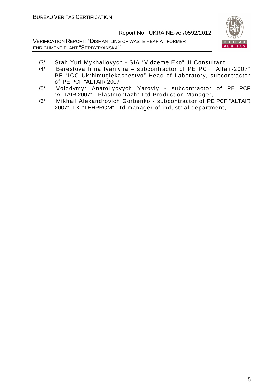VERIFICATION REPORT: "DISMANTLING OF WASTE HEAP AT FORMER ENRICHMENT PLANT "SERDYTYANSKA""



- /3/ Stah Yuri Mykhailovych SIA "Vidzeme Eko" JI Consultant
- /4/ Berestova Irina Ivanivna subcontractor of PE PCF "Altair-2007" PE "ICC Ukrhimuglekachestvo" Head of Laboratory, subcontractor of PE PCF "ALTAIR 2007"
- /5/ Volodymyr Anatoliyovych Yaroviy subcontractor of PE PCF "ALTAIR 2007", "Plastmontazh" Ltd Production Manager,
- /6/ Mikhail Alexandrovich Gorbenko subcontractor of PE PCF "ALTAIR 2007", TK "TEHPROM" Ltd manager of industrial department,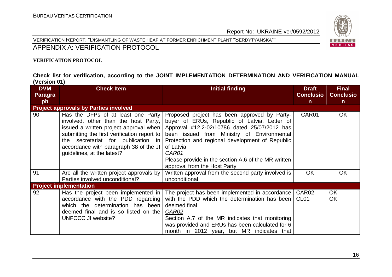#### VERIFICATION REPORT: "DISMANTLING OF WASTE HEAP AT FORMER ENRICHMENT PLANT "SERDYTYANSKA""



#### APPENDIX A: VERIFICATION PROTOCOL

#### **VERIFICATION PROTOCOL**

#### **Check list for verification, according to the JOINT IMPLEMENTATION DETERMINATION AND VERIFICATION MANUAL (Version 01)**

| <b>DVM</b><br>Paragra | <b>Check Item</b>                                                                                                                                                                                                                                                                 | <b>Initial finding</b>                                                                                                                                                                                                                                                                                                                                     | <b>Draft</b><br><b>Conclusio</b>      | <b>Final</b><br><b>Conclusio</b> |
|-----------------------|-----------------------------------------------------------------------------------------------------------------------------------------------------------------------------------------------------------------------------------------------------------------------------------|------------------------------------------------------------------------------------------------------------------------------------------------------------------------------------------------------------------------------------------------------------------------------------------------------------------------------------------------------------|---------------------------------------|----------------------------------|
| ph                    |                                                                                                                                                                                                                                                                                   |                                                                                                                                                                                                                                                                                                                                                            | $\mathsf{n}$                          | $\mathsf{n}$                     |
|                       | <b>Project approvals by Parties involved</b>                                                                                                                                                                                                                                      |                                                                                                                                                                                                                                                                                                                                                            |                                       |                                  |
| 90                    | Has the DFPs of at least one Party<br>involved, other than the host Party,<br>issued a written project approval when<br>submitting the first verification report to<br>the secretariat for publication in<br>accordance with paragraph 38 of the JI<br>guidelines, at the latest? | Proposed project has been approved by Party-<br>buyer of ERUs, Republic of Latvia. Letter of<br>Approval #12.2-02/10786 dated 25/07/2012 has<br>been issued from Ministry of Environmental<br>Protection and regional development of Republic<br>of Latvia<br>CAR01<br>Please provide in the section A.6 of the MR written<br>approval from the Host Party | CAR01                                 | <b>OK</b>                        |
| 91                    | Are all the written project approvals by<br>Parties involved unconditional?                                                                                                                                                                                                       | Written approval from the second party involved is<br>unconditional                                                                                                                                                                                                                                                                                        | <b>OK</b>                             | <b>OK</b>                        |
|                       | <b>Project implementation</b>                                                                                                                                                                                                                                                     |                                                                                                                                                                                                                                                                                                                                                            |                                       |                                  |
| 92                    | Has the project been implemented in<br>accordance with the PDD regarding<br>which the determination has been<br>deemed final and is so listed on the<br>UNFCCC JI website?                                                                                                        | The project has been implemented in accordance<br>with the PDD which the determination has been<br>deemed final<br><u>CAR02</u><br>Section A.7 of the MR indicates that monitoring<br>was provided and ERUs has been calculated for 6<br>month in 2012 year, but MR indicates that                                                                         | CAR <sub>02</sub><br>CL <sub>01</sub> | OK.<br><b>OK</b>                 |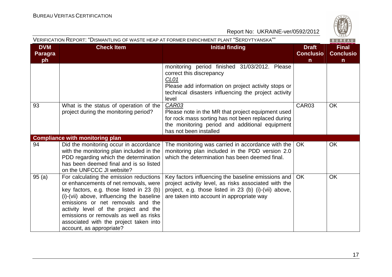

| VERIFICATION REPORT: "DISMANTLING OF WASTE HEAP AT FORMER ENRICHMENT PLANT "SERDYTYANSKA""<br>BUREAU |                                                                                                                                                                                                                                                                                                                                                                         |                                                                                                                                                                                                                       |                                                  |                                                  |
|------------------------------------------------------------------------------------------------------|-------------------------------------------------------------------------------------------------------------------------------------------------------------------------------------------------------------------------------------------------------------------------------------------------------------------------------------------------------------------------|-----------------------------------------------------------------------------------------------------------------------------------------------------------------------------------------------------------------------|--------------------------------------------------|--------------------------------------------------|
| <b>DVM</b><br><b>Paragra</b><br>ph                                                                   | <b>Check Item</b>                                                                                                                                                                                                                                                                                                                                                       | <b>Initial finding</b>                                                                                                                                                                                                | <b>Draft</b><br><b>Conclusio</b><br>$\mathsf{n}$ | <b>Final</b><br><b>Conclusio</b><br>$\mathsf{n}$ |
|                                                                                                      |                                                                                                                                                                                                                                                                                                                                                                         | monitoring period finished 31/03/2012. Please<br>correct this discrepancy<br>CL <sub>01</sub><br>Please add information on project activity stops or<br>technical disasters influencing the project activity<br>level |                                                  |                                                  |
| 93                                                                                                   | What is the status of operation of the<br>project during the monitoring period?                                                                                                                                                                                                                                                                                         | <b>CAR03</b><br>Please note in the MR that project equipment used<br>for rock mass sorting has not been replaced during<br>the monitoring period and additional equipment<br>has not been installed                   | CAR03                                            | <b>OK</b>                                        |
|                                                                                                      | <b>Compliance with monitoring plan</b>                                                                                                                                                                                                                                                                                                                                  |                                                                                                                                                                                                                       |                                                  |                                                  |
| 94                                                                                                   | Did the monitoring occur in accordance<br>with the monitoring plan included in the<br>PDD regarding which the determination<br>has been deemed final and is so listed<br>on the UNFCCC JI website?                                                                                                                                                                      | The monitoring was carried in accordance with the<br>monitoring plan included in the PDD version 2.0<br>which the determination has been deemed final.                                                                | OK                                               | <b>OK</b>                                        |
| 95(a)                                                                                                | For calculating the emission reductions<br>or enhancements of net removals, were<br>key factors, e.g. those listed in 23 (b)<br>(i)-(vii) above, influencing the baseline<br>emissions or net removals and the<br>activity level of the project and the<br>emissions or removals as well as risks<br>associated with the project taken into<br>account, as appropriate? | Key factors influencing the baseline emissions and<br>project activity level, as risks associated with the<br>project, e.g. those listed in 23 (b) (i)-(vii) above,<br>are taken into account in appropriate way      | <b>OK</b>                                        | <b>OK</b>                                        |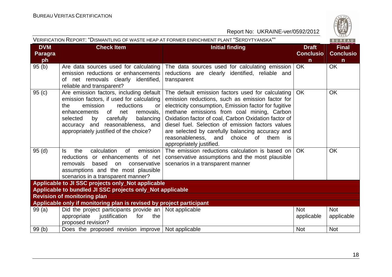

| VERIFICATION REPORT: "DISMANTLING OF WASTE HEAP AT FORMER ENRICHMENT PLANT "SERDYTYANSKA""<br>BUREAU |                                                                                                                                                                                                                                                                                                 |                                                                                                                                                                                                                                                                                                                                                                                                                                                                   |                                                  |                                                  |
|------------------------------------------------------------------------------------------------------|-------------------------------------------------------------------------------------------------------------------------------------------------------------------------------------------------------------------------------------------------------------------------------------------------|-------------------------------------------------------------------------------------------------------------------------------------------------------------------------------------------------------------------------------------------------------------------------------------------------------------------------------------------------------------------------------------------------------------------------------------------------------------------|--------------------------------------------------|--------------------------------------------------|
| <b>DVM</b><br><b>Paragra</b><br>ph                                                                   | <b>Check Item</b>                                                                                                                                                                                                                                                                               | <b>Initial finding</b>                                                                                                                                                                                                                                                                                                                                                                                                                                            | <b>Draft</b><br><b>Conclusio</b><br>$\mathsf{n}$ | <b>Final</b><br><b>Conclusio</b><br>$\mathsf{n}$ |
| 95(b)                                                                                                | Are data sources used for calculating<br>emission reductions or enhancements<br>of net removals clearly identified,<br>reliable and transparent?                                                                                                                                                | The data sources used for calculating emission<br>reductions are clearly identified, reliable and<br>transparent                                                                                                                                                                                                                                                                                                                                                  | <b>OK</b>                                        | <b>OK</b>                                        |
| 95(c)                                                                                                | Are emission factors, including default<br>emission factors, if used for calculating<br>emission<br>reductions<br>the<br>or<br>enhancements<br>of<br>removals,<br>net<br>balancing<br>selected<br>by<br>carefully<br>accuracy and reasonableness, and<br>appropriately justified of the choice? | The default emission factors used for calculating<br>emission reductions, such as emission factor for<br>electricity consumption, Emission factor for fugitive<br>methane emissions from coal mining, Carbon<br>Oxidation factor of coal, Carbon Oxidation factor of<br>diesel fuel. Selection of emission factors values<br>are selected by carefully balancing accuracy and<br>reasonableness,<br>of<br>them<br>and<br>choice<br>is<br>appropriately justified. | <b>OK</b>                                        | <b>OK</b>                                        |
| 95(d)                                                                                                | calculation<br>of<br>emission<br>the<br>ls.<br>reductions or enhancements of net<br>removals<br>based<br>on<br>conservative<br>assumptions and the most plausible<br>scenarios in a transparent manner?                                                                                         | The emission reductions calculation is based on<br>conservative assumptions and the most plausible<br>scenarios in a transparent manner                                                                                                                                                                                                                                                                                                                           | OK.                                              | <b>OK</b>                                        |
|                                                                                                      | Applicable to JI SSC projects only_Not applicable                                                                                                                                                                                                                                               |                                                                                                                                                                                                                                                                                                                                                                                                                                                                   |                                                  |                                                  |
|                                                                                                      | Applicable to bundled JI SSC projects only_Not applicable                                                                                                                                                                                                                                       |                                                                                                                                                                                                                                                                                                                                                                                                                                                                   |                                                  |                                                  |
| <b>Revision of monitoring plan</b>                                                                   |                                                                                                                                                                                                                                                                                                 |                                                                                                                                                                                                                                                                                                                                                                                                                                                                   |                                                  |                                                  |
|                                                                                                      | Applicable only if monitoring plan is revised by project participant                                                                                                                                                                                                                            |                                                                                                                                                                                                                                                                                                                                                                                                                                                                   |                                                  |                                                  |
| 99(a)                                                                                                | Did the project participants provide an $\vert$ Not applicable<br>appropriate<br>justification<br>for<br>the<br>proposed revision?                                                                                                                                                              |                                                                                                                                                                                                                                                                                                                                                                                                                                                                   | <b>Not</b><br>applicable                         | <b>Not</b><br>applicable                         |
| 99(b)                                                                                                | Does the proposed revision improve   Not applicable                                                                                                                                                                                                                                             |                                                                                                                                                                                                                                                                                                                                                                                                                                                                   | <b>Not</b>                                       | <b>Not</b>                                       |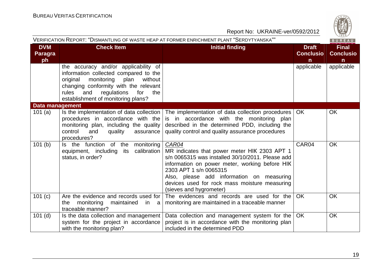

|                                    |                                                                                                                                                                                                                                                        | Report No: UKRAINE-ver/0592/2012                                                                                                                                                                                                                                                                               |                                       | $\frac{42}{1828}$                                |
|------------------------------------|--------------------------------------------------------------------------------------------------------------------------------------------------------------------------------------------------------------------------------------------------------|----------------------------------------------------------------------------------------------------------------------------------------------------------------------------------------------------------------------------------------------------------------------------------------------------------------|---------------------------------------|--------------------------------------------------|
|                                    |                                                                                                                                                                                                                                                        | VERIFICATION REPORT: "DISMANTLING OF WASTE HEAP AT FORMER ENRICHMENT PLANT "SERDYTYANSKA""                                                                                                                                                                                                                     |                                       | BUREAU                                           |
| <b>DVM</b><br><b>Paragra</b><br>ph | <b>Check Item</b>                                                                                                                                                                                                                                      | <b>Initial finding</b>                                                                                                                                                                                                                                                                                         | <b>Draft</b><br><b>Conclusio</b><br>n | <b>Final</b><br><b>Conclusio</b><br>$\mathsf{n}$ |
|                                    | the accuracy and/or applicability of<br>information collected compared to the<br>monitoring<br>plan<br>without<br>original<br>changing conformity with the relevant<br>regulations<br>for<br>rules<br>and<br>the<br>establishment of monitoring plans? |                                                                                                                                                                                                                                                                                                                | applicable                            | applicable                                       |
| <b>Data management</b>             |                                                                                                                                                                                                                                                        |                                                                                                                                                                                                                                                                                                                |                                       |                                                  |
| 101(a)                             | Is the implementation of data collection<br>procedures in accordance with the<br>monitoring plan, including the quality<br>control<br>quality<br>and<br>assurance<br>procedures?                                                                       | The implementation of data collection procedures<br>is in accordance with the monitoring plan<br>described in the determined PDD, including the<br>quality control and quality assurance procedures                                                                                                            | <b>OK</b>                             | <b>OK</b>                                        |
| 101(b)                             | Is the function of the monitoring<br>calibration<br>equipment, including<br>its<br>status, in order?                                                                                                                                                   | CAR04<br>MR indicates that power meter HIK 2303 APT 1<br>s/n 0065315 was installed 30/10/2011. Please add<br>information on power meter, working before HIK<br>2303 APT 1 s/n 0065315<br>Also, please add information on measuring<br>devices used for rock mass moisture measuring<br>(sieves and hygrometer) | CAR04                                 | <b>OK</b>                                        |
| 101(c)                             | Are the evidence and records used for<br>monitoring<br>maintained<br>the<br>in<br>a<br>traceable manner?                                                                                                                                               | The evidences and records are used for the<br>monitoring are maintained in a traceable manner                                                                                                                                                                                                                  | <b>OK</b>                             | <b>OK</b>                                        |
| $101$ (d)                          | Is the data collection and management<br>system for the project in accordance<br>with the monitoring plan?                                                                                                                                             | Data collection and management system for the<br>project is in accordance with the monitoring plan<br>included in the determined PDD                                                                                                                                                                           | <b>OK</b>                             | OK                                               |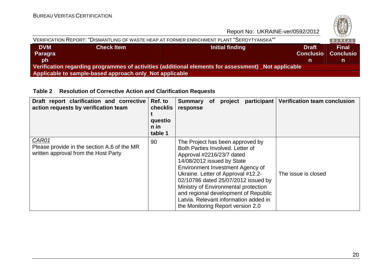

| VERIFICATION REPORT: "DISMANTLING OF WASTE HEAP AT FORMER ENRICHMENT PLANT "SERDYTYANSKA""          |                   |                 | BUREAU           |                  |
|-----------------------------------------------------------------------------------------------------|-------------------|-----------------|------------------|------------------|
| <b>DVM</b>                                                                                          | <b>Check Item</b> | Initial finding | <b>Draft</b>     | <b>Final</b>     |
| Paragra                                                                                             |                   |                 | <b>Conclusio</b> | <b>Conclusio</b> |
| <b>ph</b>                                                                                           |                   |                 |                  |                  |
| Verification regarding programmes of activities (additional elements for assessment) Not applicable |                   |                 |                  |                  |
| Applicable to sample-based approach only_Not applicable                                             |                   |                 |                  |                  |

#### **Table 2 Resolution of Corrective Action and Clarification Requests**

| Draft report clarification and corrective<br>action requests by verification team            | Ref. to<br>checklis<br>questio<br>n in<br>table 1 | <b>Verification team conclusion</b><br>participant<br><b>Summary</b><br>project<br><b>of</b><br>response                                                                                                                                                                                                                                                                                                                              |
|----------------------------------------------------------------------------------------------|---------------------------------------------------|---------------------------------------------------------------------------------------------------------------------------------------------------------------------------------------------------------------------------------------------------------------------------------------------------------------------------------------------------------------------------------------------------------------------------------------|
| CAR01<br>Please provide in the section A.6 of the MR<br>written approval from the Host Party | 90                                                | The Project has been approved by<br>Both Parties Involved, Letter of<br>Approval #2216/23/7 dated<br>14/08/2012 issued by State<br>Environment Investment Agency of<br>Ukraine. Letter of Approval #12.2-<br>The issue is closed<br>02/10786 dated 25/07/2012 issued by<br>Ministry of Environmental protection<br>and regional development of Republic<br>Latvia. Relevant information added in<br>the Monitoring Report version 2.0 |